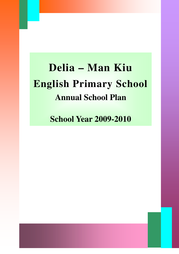# **Delia – Man Kiu English Primary School Annual School Plan**

**School Year 2009-2010**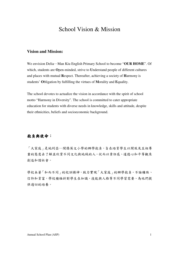# School Vision & Mission

#### **Vision and Mission:**

We envision Delia―Man Kiu English Primary School to become "**OUR HOME**". Of which, students are **O**pen-minded, strive to **U**nderstand people of different cultures and places with mutual **R**espect. Thereafter, achieving a society of **H**armony is students' **O**bligation by fulfilling the virtues of **M**orality and **E**quality.

The school devotes to actualize the vision in accordance with the spirit of school motto "Harmony in Diversity". The school is committed to cater appropriate education for students with diverse needs in knowledge, skills and attitude, despite their ethnicities, beliefs and socioeconomic background.

#### 抱負與使命:

「大家庭」是地利亞―閩僑英文小學的辦學抱負,旨在培育學生以開放及互相尊 重的態度去了解並欣賞不同文化與地域的人。從而以責任感、道德心和平等觀來 創造和諧社會。

學校本著「和而不同」的校訓精神,致力實現「大家庭」的辦學抱負。不論種族、 信仰和貧富,學校積極針對學生在知識、技能與人格等不同學習需要、為他們提 供適切的培養。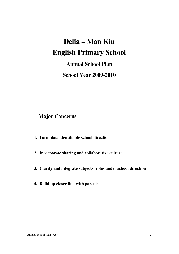# **Delia – Man Kiu English Primary School**

**Annual School Plan** 

**School Year 2009-2010**

# **Major Concerns**

- **1. Formulate identifiable school direction**
- **2. Incorporate sharing and collaborative culture**
- **3. Clarify and integrate subjects' roles under school direction**
- **4. Build up closer link with parents**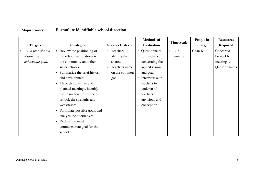# **1. Major Concern: Formulate identifiable school direction**

|                                |                                           |                         | <b>Methods of</b> | <b>Time Scale</b>  | People in | <b>Resources</b> |
|--------------------------------|-------------------------------------------|-------------------------|-------------------|--------------------|-----------|------------------|
| <b>Targets</b>                 | <b>Strategies</b>                         | <b>Success Criteria</b> | <b>Evaluation</b> |                    | charge    | <b>Required</b>  |
| Build up a shared<br>$\bullet$ | • Review the positioning of               | • Teachers              | • Questionnaire   | $4-6$<br>$\bullet$ | Chan KP   | Concerted        |
| vision and                     | the school, its relations with            | identify the            | for teachers      | months             |           | bi-weekly        |
| achievable goal.               | the community and other                   | shared.                 | concerning the    |                    |           | meetings /       |
|                                | sister schools.                           | • Teachers agree        | agreed vision     |                    |           | Questionnaires   |
|                                | Summarize the brief history               | on the common           | and goal.         |                    |           |                  |
|                                | and development.                          | goal.                   | • Interview with  |                    |           |                  |
|                                | Through collective and                    |                         | teachers to       |                    |           |                  |
|                                | planned meetings, identify                |                         | understand        |                    |           |                  |
|                                | the characteristics of the                |                         | teachers'         |                    |           |                  |
|                                | school, the strengths and                 |                         | envisions and     |                    |           |                  |
|                                | weaknesses.                               |                         | conception.       |                    |           |                  |
|                                | Formulate possible goals and<br>$\bullet$ |                         |                   |                    |           |                  |
|                                | analyze the alternatives.                 |                         |                   |                    |           |                  |
|                                | Deduce the most<br>$\bullet$              |                         |                   |                    |           |                  |
|                                | commensurate goal for the                 |                         |                   |                    |           |                  |
|                                | school.                                   |                         |                   |                    |           |                  |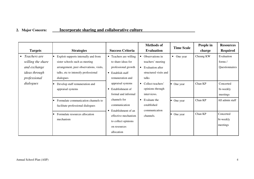## **2. Major Concern: Incorporate sharing and collaborative culture**

|                           |                                         |                                  | <b>Methods of</b>              | <b>Time Scale</b> | People in | <b>Resources</b> |
|---------------------------|-----------------------------------------|----------------------------------|--------------------------------|-------------------|-----------|------------------|
| <b>Targets</b>            | <b>Strategies</b>                       | <b>Success Criteria</b>          | <b>Evaluation</b>              |                   | charge    | <b>Required</b>  |
| Teachers are<br>$\bullet$ | Exploit supports internally and from    | • Teachers are willing           | Observations in                | • One year        | Cheung KW | Evaluation       |
| willing the share         | sister schools such as meeting          | to share ideas for               | teachers' meeting              |                   |           | forms/           |
| and exchange              | arrangement, peer observations, visits, | professional growth              | Evaluation after<br>$\bullet$  |                   |           | Questionnaires   |
| <i>ideas through</i>      | talks, etc to intensify professional    | $\bullet$ Establish staff        | structured visits and          |                   |           |                  |
| professional              | dialogues                               | remuneration and                 | talks                          |                   |           |                  |
| dialogues                 | Develop staff remuneration and          | appraisal systems                | Collect teachers'<br>$\bullet$ | • One year        | Chan KP   | Concerted        |
|                           | appraisal systems                       | • Establishment of               | opinions through               |                   |           | bi-weekly        |
|                           |                                         | formal and informal              | interviews.                    |                   |           | meetings         |
|                           | Formulate communication channels to     | channels for                     | Evaluate the<br>$\bullet$      | • One year        | Chan KP   | All admin staff  |
|                           | facilitate professional dialogues       | communication                    | established                    |                   |           |                  |
|                           |                                         | Establishment of an<br>$\bullet$ | communication                  |                   |           |                  |
|                           | Formulate resources allocation          | effective mechanism              | channels.                      | One year          | Chan KP   | Concerted        |
|                           | mechanism                               | to collect opinions              |                                |                   |           | bi-weekly        |
|                           |                                         | on resources                     |                                |                   |           | meetings         |
|                           |                                         | allocation                       |                                |                   |           |                  |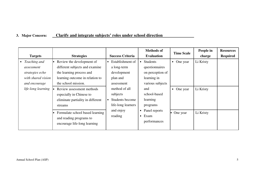# **3. Major Concern: Clarify and integrate subjects' roles under school direction**

|                                                        |                                                                                                       |                                                                    | <b>Methods of</b>                                                           | <b>Time Scale</b>     | People in | <b>Resources</b> |
|--------------------------------------------------------|-------------------------------------------------------------------------------------------------------|--------------------------------------------------------------------|-----------------------------------------------------------------------------|-----------------------|-----------|------------------|
| <b>Targets</b>                                         | <b>Strategies</b>                                                                                     | <b>Success Criteria</b>                                            | <b>Evaluation</b>                                                           |                       | charge    | <b>Required</b>  |
| Teaching and<br>$\bullet$<br>assessment                | Review the development of<br>different subjects and examine                                           | Establishment of<br>$\bullet$<br>a long-term                       | Students<br>$\bullet$<br>questionnaires                                     | One year<br>$\bullet$ | Li Kristy |                  |
| strategies echo<br>with shared vision<br>and encourage | the learning process and<br>learning outcome in relation to<br>the school mission.                    | development<br>plan and<br>assessment                              | on perception of<br>learning in<br>various subjects                         |                       |           |                  |
| life-long learning                                     | Review assessment methods<br>especially in Chinese to<br>eliminate partiality in different<br>streams | method of all<br>subjects<br>Students become<br>life-long learners | and<br>school-based<br>learning<br>programs                                 | • One year            | Li Kristy |                  |
|                                                        | Formulate school based learning<br>and reading programs to<br>encourage life-long learning            | and enjoy<br>reading                                               | Panel reports<br>$\bullet$<br>One year<br>Exam<br>$\bullet$<br>performances | Li Kristy             |           |                  |